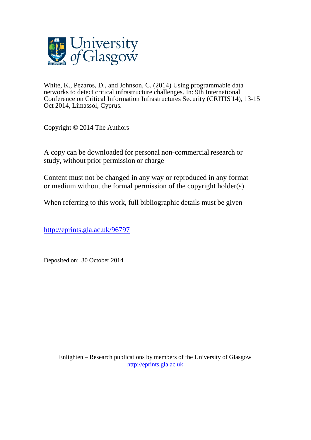

White, K., Pezaros, D., and Johnson, C. (2014) Using programmable data networks to detect critical infrastructure challenges. In: 9th International Conference on Critical Information Infrastructures Security (CRITIS'14), 13-15 Oct 2014, Limassol, Cyprus.

Copyright © 2014 The Authors

A copy can be downloaded for personal non-commercial research or study, without prior permission or charge

Content must not be changed in any way or reproduced in any format or medium without the formal permission of the copyright holder(s)

When referring to this work, full bibliographic details must be given

<http://eprints.gla.ac.uk/96797>

Deposited on: 30 October 2014

Enlighten – Research publications by members of the University of Glasgo[w](http://eprints.gla.ac.uk/) [http://eprints.gla.ac.uk](http://eprints.gla.ac.uk/)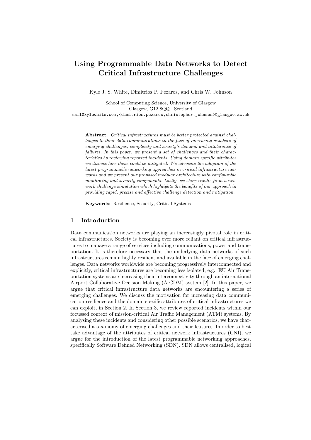# Using Programmable Data Networks to Detect Critical Infrastructure Challenges

Kyle J. S. White, Dimitrios P. Pezaros, and Chris W. Johnson

School of Computing Science, University of Glasgow Glasgow, G12 8QQ , Scotland

mail@kylewhite.com,{dimitrios.pezaros,christopher.johnson}@glasgow.ac.uk

Abstract. Critical infrastructures must be better protected against challenges to their data communications in the face of increasing numbers of emerging challenges, complexity and society's demand and intolerance of failures. In this paper, we present a set of challenges and their characteristics by reviewing reported incidents. Using domain specific attributes we discuss how these could be mitigated. We advocate the adoption of the latest programmable networking approaches in critical infrastructure networks and we present our proposed modular architecture with configurable monitoring and security components. Lastly, we show results from a network challenge simulation which highlights the benefits of our approach in providing rapid, precise and effective challenge detection and mitigation.

Keywords: Resilience, Security, Critical Systems

# 1 Introduction

Data communication networks are playing an increasingly pivotal role in critical infrastructures. Society is becoming ever more reliant on critical infrastructures to manage a range of services including communications, power and transportation. It is therefore necessary that the underlying data networks of such infrastructures remain highly resilient and available in the face of emerging challenges. Data networks worldwide are becoming progressively interconnected and explicitly, critical infrastructures are becoming less isolated, e.g., EU Air Transportation systems are increasing their interconnectivity through an international Airport Collaborative Decision Making (A-CDM) system [2]. In this paper, we argue that critical infrastructure data networks are encountering a series of emerging challenges. We discuss the motivation for increasing data communication resilience and the domain specific attributes of critical infrastructures we can exploit, in Section 2. In Section 3, we review reported incidents within our focussed context of mission-critical Air Traffic Management (ATM) systems. By analysing these incidents and considering other possible scenarios, we have characterised a taxonomy of emerging challenges and their features. In order to best take advantage of the attributes of critical network infrastructures (CNI), we argue for the introduction of the latest programmable networking approaches, specifically Software Defined Networking (SDN). SDN allows centralised, logical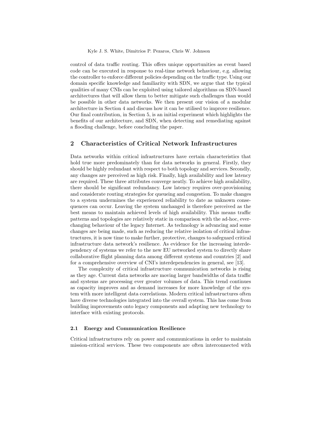control of data traffic routing. This offers unique opportunities as event based code can be executed in response to real-time network behaviour, e.g. allowing the controller to enforce different policies depending on the traffic type. Using our domain specific knowledge and familiarity with SDN, we argue that the typical qualities of many CNIs can be exploited using tailored algorithms on SDN-based architectures that will allow them to better mitigate such challenges than would be possible in other data networks. We then present our vision of a modular architecture in Section 4 and discuss how it can be utilised to improve resilience. Our final contribution, in Section 5, is an initial experiment which highlights the benefits of our architecture, and SDN, when detecting and remediating against a flooding challenge, before concluding the paper.

# 2 Characteristics of Critical Network Infrastructures

Data networks within critical infrastructures have certain characteristics that hold true more predominately than for data networks in general. Firstly, they should be highly redundant with respect to both topology and services. Secondly, any changes are perceived as high risk. Finally, high availability and low latency are required. These three attributes converge neatly. To achieve high availability, there should be significant redundancy. Low latency requires over-provisioning and considerate routing strategies for queueing and congestion. To make changes to a system undermines the experienced reliability to date as unknown consequences can occur. Leaving the system unchanged is therefore perceived as the best means to maintain achieved levels of high availability. This means traffic patterns and topologies are relatively static in comparison with the ad-hoc, everchanging behaviour of the legacy Internet. As technology is advancing and some changes are being made, such as reducing the relative isolation of critical infrastructures, it is now time to make further, protective, changes to safeguard critical infrastructure data network's resilience. As evidence for the increasing interdependency of systems we refer to the new EU networked system to directly share collaborative flight planning data among different systems and countries [2] and for a comprehensive overview of CNI's interdependencies in general, see [13].

The complexity of critical infrastructure communication networks is rising as they age. Current data networks are moving larger bandwidths of data traffic and systems are processing ever greater volumes of data. This trend continues as capacity improves and as demand increases for more knowledge of the system with more intelligent data correlations. Modern critical infrastructures often have diverse technologies integrated into the overall system. This has come from building improvements onto legacy components and adapting new technology to interface with existing protocols.

#### 2.1 Energy and Communication Resilience

Critical infrastructures rely on power and communications in order to maintain mission-critical services. These two components are often interconnected with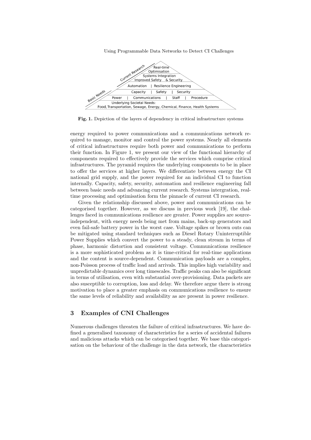

Fig. 1. Depiction of the layers of dependency in critical infrastructure systems

energy required to power communications and a communications network required to manage, monitor and control the power systems. Nearly all elements of critical infrastructures require both power and communications to perform their function. In Figure 1, we present our view of the functional hierarchy of components required to effectively provide the services which comprise critical infrastructures. The pyramid requires the underlying components to be in place to offer the services at higher layers. We differentiate between energy the CI national grid supply, and the power required for an individual CI to function internally. Capacity, safety, security, automation and resilience engineering fall between basic needs and advancing current research. Systems intergration, realtime processing and optimisation form the pinnacle of current CI research.

Given the relationship discussed above, power and communications can be categorised together. However, as we discuss in previous work [19], the challenges faced in communications resilience are greater. Power supplies are sourceindependent, with energy needs being met from mains, back-up generators and even fail-safe battery power in the worst case. Voltage spikes or brown outs can be mitigated using standard techniques such as Diesel Rotary Uninterruptible Power Supplies which convert the power to a steady, clean stream in terms of phase, harmonic distortion and consistent voltage. Communications resilience is a more sophisticated problem as it is time-critical for real-time applications and the content is source-dependent. Communication payloads are a complex, non-Poisson process of traffic load and arrivals. This implies high variability and unpredictable dynamics over long timescales. Traffic peaks can also be significant in terms of utilisation, even with substantial over-provisioning. Data packets are also susceptible to corruption, loss and delay. We therefore argue there is strong motivation to place a greater emphasis on communications resilience to ensure the same levels of reliability and availability as are present in power resilience.

# 3 Examples of CNI Challenges

Numerous challenges threaten the failure of critical infrastructures. We have defined a generalised taxonomy of characteristics for a series of accidental failures and malicious attacks which can be categorised together. We base this categorisation on the behaviour of the challenge in the data network, the characteristics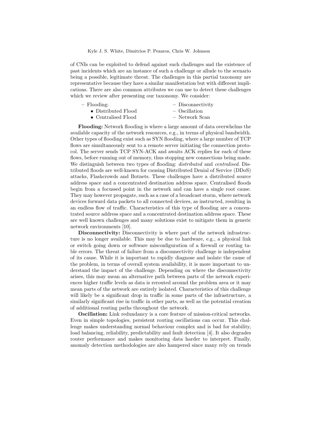of CNIs can be exploited to defend against such challenges and the existence of past incidents which are an instance of such a challenge or allude to the scenario being a possible, legitimate threat. The challenges in this partial taxonomy are representative because they have a similar manifestation but with different implications. There are also common attributes we can use to detect these challenges which we review after presenting our taxonomy. We consider:

| - Flooding:                 | - Disconnectivity |
|-----------------------------|-------------------|
| • Distributed Flood         | - Oscillation     |
| $\bullet$ Centralised Flood | - Network Scan    |

Flooding: Network flooding is where a large amount of data overwhelms the available capacity of the network resources, e.g., in terms of physical bandwidth. Other types of flooding exist such as SYN flooding, where a large number of TCP flows are simultaneously sent to a remote server initiating the connection protocol. The server sends TCP SYN-ACK and awaits ACK replies for each of these flows, before running out of memory, thus stopping new connections being made. We distinguish between two types of flooding: *distributed* and *centralised*. Distributed floods are well-known for causing Distributed Denial of Service (DDoS) attacks, Flashcrowds and Botnets. These challenges have a distributed source address space and a concentrated destination address space. Centralised floods begin from a focussed point in the network and can have a single root cause. They may however propagate, such as a case of a broadcast storm, where network devices forward data packets to all connected devices, as instructed, resulting in an endless flow of traffic. Characteristics of this type of flooding are a concentrated source address space and a concentrated destination address space. These are well known challenges and many solutions exist to mitigate them in generic network environments [10].

Disconnectivity: Disconnectivity is where part of the network infrastructure is no longer available. This may be due to hardware, e.g., a physical link or switch going down or software misconfiguration of a firewall or routing table errors. The threat of failure from a disconnectivity challenge is independent of its cause. While it is important to rapidly diagnose and isolate the cause of the problem, in terms of overall system availability, it is more important to understand the impact of the challenge. Depending on where the disconnectivity arises, this may mean an alternative path between parts of the network experiences higher traffic levels as data is rerouted around the problem area or it may mean parts of the network are entirely isolated. Characteristics of this challenge will likely be a significant drop in traffic in some parts of the infrastructure, a similarly significant rise in traffic in other parts, as well as the potential creation of additional routing paths throughout the network.

Oscillation: Link redundancy is a core feature of mission-critical networks. Even in simple topologies, persistent routing oscillations can occur. This challenge makes understanding normal behaviour complex and is bad for stability, load balancing, reliability, predictability and fault detection [4]. It also degrades router performance and makes monitoring data harder to interpret. Finally, anomaly detection methodologies are also hampered since many rely on trends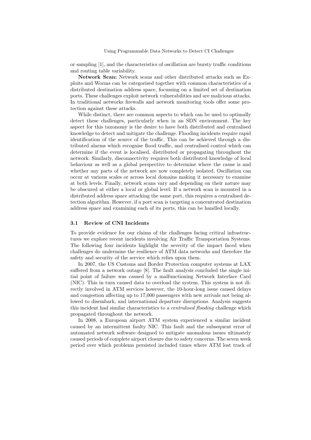or sampling [1], and the characteristics of oscillation are bursty traffic conditions and routing table variability.

Network Scan: Network scans and other distributed attacks such as Exploits and Worms can be categorised together with common characteristics of a distributed destination address space, focussing on a limited set of destination ports. These challenges exploit network vulnerabilities and are malicious attacks. In traditional networks firewalls and network monitoring tools offer some protection against these attacks.

While distinct, there are common aspects to which can be used to optimally detect these challenges, particularly when in an SDN environment. The key aspect for this taxonomy is the desire to have both distributed and centralised knowledge to detect and mitigate the challenge. Flooding incidents require rapid identification of the source of the traffic. This can be achieved through a distributed alarms which recognise flood traffic, and centralised control which can determine if the event is localised, distributed or propagating throughout the network. Similarly, disconnectivity requires both distributed knowledge of local behaviour as well as a global perspective to determine where the cause is and whether any parts of the network are now completely isolated. Oscillation can occur at various scales or across local domains making it necessary to examine at both levels. Finally, network scans vary and depending on their nature may be obscured at either a local or global level. If a network scan is mounted in a distributed address space attacking the same port, this requires a centralised detection algorithm. However, if a port scan is targeting a concentrated destination address space and examining each of its ports, this can be handled locally.

#### 3.1 Review of CNI Incidents

To provide evidence for our claims of the challenges facing critical infrastructures we explore recent incidents involving Air Traffic Transportation Systems. The following four incidents highlight the severity of the impact faced when challenges do undermine the resilience of ATM data networks and therefore the safety and security of the service which relies upon them.

In 2007, the US Customs and Border Protection computer systems at LAX suffered from a network outage [8]. The fault analysis concluded the single initial point of failure was caused by a malfunctioning Network Interface Card (NIC). This in turn caused data to overload the system. This system is not directly involved in ATM services however, the 10-hour-long issue caused delays and congestion affecting up to 17,000 passengers with new arrivals not being allowed to disembark, and international departure disruptions. Analysis suggests this incident had similar characteristics to a centralised flooding challenge which propagated throughout the network.

In 2008, a European airport ATM system experienced a similar incident caused by an intermittent faulty NIC. This fault and the subsequent error of automated network software designed to mitigate anomalous issues ultimately caused periods of complete airport closure due to safety concerns. The seven week period over which problems persisted included times where ATM lost track of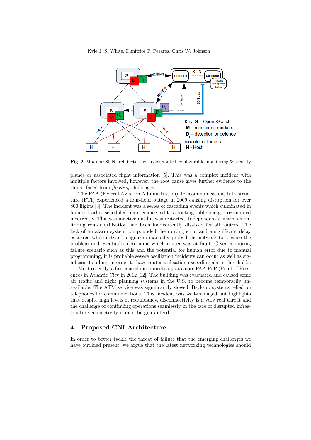

Fig. 2. Modular SDN architecture with distributed, configurable monitoring & security

planes or associated flight information [5]. This was a complex incident with multiple factors involved, however, the root cause gives further evidence to the threat faced from flooding challenges.

The FAA (Federal Aviation Administration) Telecommunications Infrastructure (FTI) experienced a four-hour outage in 2009 causing disruption for over 800 flights [3]. The incident was a series of cascading events which culminated in failure. Earlier scheduled maintenance led to a routing table being programmed incorrectly. This was inactive until it was restarted. Independently, alarms monitoring router utilisation had been inadvertently disabled for all routers. The lack of an alarm system compounded the routing error and a significant delay occurred while network engineers manually probed the network to localise the problem and eventually determine which router was at fault. Given a routing failure scenario such as this and the potential for human error due to manual programming, it is probable severe oscillation incidents can occur as well as significant flooding, in order to have router utilisation exceeding alarm thresholds.

Most recently, a fire caused disconnectivity at a core FAA PoP (Point of Presence) in Atlantic City in 2012 [12]. The building was evacuated and caused some air traffic and flight planning systems in the U.S. to become temporarily unavailable. The ATM service was significantly slowed. Back-up systems relied on telephones for communications. This incident was well-managed but highlights that despite high levels of redundancy, disconnectivity is a very real threat and the challenge of continuing operations seamlessly in the face of disrupted infrastructure connectivity cannot be guaranteed.

### 4 Proposed CNI Architecture

In order to better tackle the threat of failure that the emerging challenges we have outlined present, we argue that the latest networking technologies should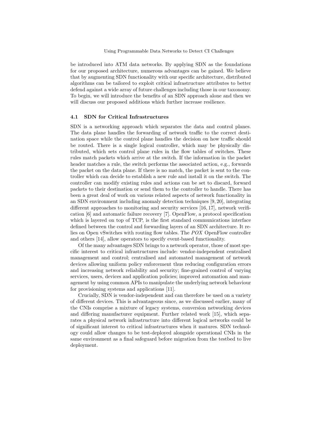be introduced into ATM data networks. By applying SDN as the foundations for our proposed architecture, numerous advantages can be gained. We believe that by augmenting SDN functionality with our specific architecture, distributed algorithms can be tailored to exploit critical infrastructure attributes to better defend against a wide array of future challenges including those in our taxonomy. To begin, we will introduce the benefits of an SDN approach alone and then we will discuss our proposed additions which further increase resilience.

#### 4.1 SDN for Critical Infrastructures

SDN is a networking approach which separates the data and control planes. The data plane handles the forwarding of network traffic to the correct destination space while the control plane handles the decision on how traffic should be routed. There is a single logical controller, which may be physically distributed, which sets control plane rules in the flow tables of switches. These rules match packets which arrive at the switch. If the information in the packet header matches a rule, the switch performs the associated action, e.g., forwards the packet on the data plane. If there is no match, the packet is sent to the controller which can decide to establish a new rule and install it on the switch. The controller can modify existing rules and actions can be set to discard, forward packets to their destination or send them to the controller to handle. There has been a great deal of work on various related aspects of network functionality in an SDN environment including anomaly detection techniques [9, 20], integrating different approaches to monitoring and security services [16, 17], network verification [6] and automatic failure recovery [7]. OpenFlow, a protocol specification which is layered on top of TCP, is the first standard communications interface defined between the control and forwarding layers of an SDN architecture. It relies on Open vSwitches with routing flow tables. The POX OpenFlow controller and others [14], allow operators to specify event-based functionality.

Of the many advantages SDN brings to a network operator, those of most specific interest to critical infrastructures include: vendor-independent centralised management and control; centralised and automated management of network devices allowing uniform policy enforcement thus reducing configuration errors and increasing network reliability and security; fine-grained control of varying services, users, devices and application policies; improved automation and management by using common APIs to manipulate the underlying network behaviour for provisioning systems and applications [11].

Crucially, SDN is vendor-independent and can therefore be used on a variety of different devices. This is advantageous since, as we discussed earlier, many of the CNIs comprise a mixture of legacy systems, conversion networking devices and differing manufacturer equipment. Further related work [15], which separates a physical network infrastructure into different logical networks could be of significant interest to critical infrastructures when it matures. SDN technology could allow changes to be test-deployed alongside operational CNIs in the same environment as a final safeguard before migration from the testbed to live deployment.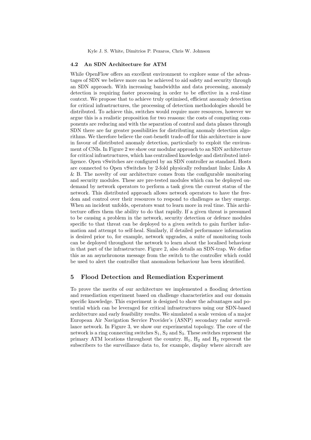#### 4.2 An SDN Architecture for ATM

While OpenFlow offers an excellent environment to explore some of the advantages of SDN we believe more can be achieved to aid safety and security through an SDN approach. With increasing bandwidths and data processing, anomaly detection is requiring faster processing in order to be effective in a real-time context. We propose that to achieve truly optimised, efficient anomaly detection for critical infrastructures, the processing of detection methodologies should be distributed. To achieve this, switches would require more resources, however we argue this is a realistic proposition for two reasons: the costs of computing components are reducing and with the separation of control and data planes through SDN there are far greater possibilities for distributing anomaly detection algorithms. We therefore believe the cost-benefit trade-off for this architecture is now in favour of distributed anomaly detection, particularly to exploit the environment of CNIs. In Figure 2 we show our modular approach to an SDN architecture for critical infrastructures, which has centralised knowledge and distributed intelligence. Open vSwitches are configured by an SDN controller as standard. Hosts are connected to Open vSwitches by 2-fold physically redundant links: Links A & B. The novelty of our architecture comes from the configurable monitoring and security modules. These are pre-tested modules which can be deployed ondemand by network operators to perform a task given the current status of the network. This distributed approach allows network operators to have the freedom and control over their resources to respond to challenges as they emerge. When an incident unfolds, operators want to learn more in real time. This architecture offers them the ability to do that rapidly. If a given threat is presumed to be causing a problem in the network, security detection or defence modules specific to that threat can be deployed to a given switch to gain further information and attempt to self-heal. Similarly, if detailed performance information is desired prior to, for example, network upgrades, a suite of monitoring tools can be deployed throughout the network to learn about the localised behaviour in that part of the infrastructure. Figure 2, also details an SDN-trap. We define this as an asynchronous message from the switch to the controller which could be used to alert the controller that anomalous behaviour has been identified.

# 5 Flood Detection and Remediation Experiment

To prove the merits of our architecture we implemented a flooding detection and remediation experiment based on challenge characteristics and our domain specific knowledge. This experiment is designed to show the advantages and potential which can be leveraged for critical infrastructures using our SDN-based architecture and early feasibility results. We simulated a scale version of a major European Air Navigation Service Provider's (ASNP) secondary radar surveillance network. In Figure 3, we show our experimental topology. The core of the network is a ring connecting switches  $S_1$ ,  $S_2$  and  $S_3$ . These switches represent the primary ATM locations throughout the country.  $H_1$ ,  $H_2$  and  $H_3$  represent the subscribers to the surveillance data to, for example, display where aircraft are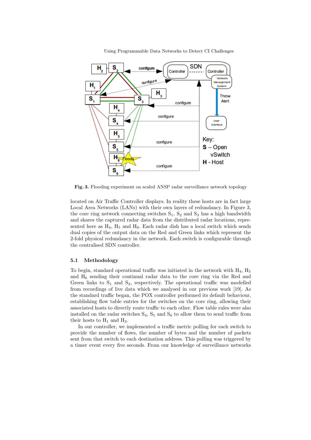

Fig. 3. Flooding experiment on scaled ANSP radar surveillance network topology

located on Air Traffic Controller displays. In reality these hosts are in fact large Local Area Networks (LANs) with their own layers of redundancy. In Figure 3, the core ring network connecting switches  $S_1$ ,  $S_2$  and  $S_3$  has a high bandwidth and shares the captured radar data from the distributed radar locations, represented here as  $H_4$ ,  $H_5$  and  $H_6$ . Each radar dish has a local switch which sends dual copies of the output data on the Red and Green links which represent the 2-fold physical redundancy in the network. Each switch is configurable through the centralised SDN controller.

#### 5.1 Methodology

To begin, standard operational traffic was initiated in the network with  $H_4$ ,  $H_5$ and  $H_6$  sending their continual radar data to the core ring via the Red and Green links to  $S_1$  and  $S_3$ , respectively. The operational traffic was modelled from recordings of live data which we analysed in our previous work [19]. As the standard traffic began, the POX controller performed its default behaviour, establishing flow table entries for the switches on the core ring, allowing their associated hosts to directly route traffic to each other. Flow table rules were also installed on the radar switches  $S_4$ ,  $S_5$  and  $S_6$  to allow them to send traffic from their hosts to  $H_1$  and  $H_3$ .

In our controller, we implemented a traffic metric polling for each switch to provide the number of flows, the number of bytes and the number of packets sent from that switch to each destination address. This polling was triggered by a timer event every five seconds. From our knowledge of surveillance networks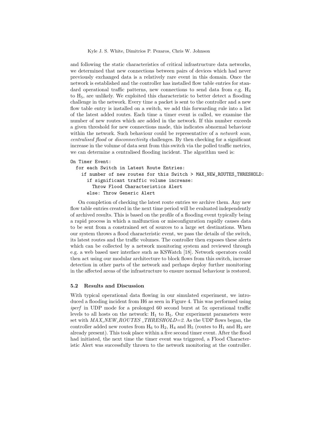Kyle J. S. White, Dimitrios P. Pezaros, Chris W. Johnson

and following the static characteristics of critical infrastructure data networks, we determined that new connections between pairs of devices which had never previously exchanged data is a relatively rare event in this domain. Once the network is established and the controller has installed flow table entries for standard operational traffic patterns, new connections to send data from e.g.  $H_4$ to  $H<sub>5</sub>$ , are unlikely. We exploited this characteristic to better detect a flooding challenge in the network. Every time a packet is sent to the controller and a new flow table entry is installed on a switch, we add this forwarding rule into a list of the latest added routes. Each time a timer event is called, we examine the number of new routes which are added in the network. If this number exceeds a given threshold for new connections made, this indicates abnormal behaviour within the network. Such behaviour could be representative of a *network scan*, centralised flood or disconnectivity challenges. By then checking for a significant increase in the volume of data sent from this switch via the polled traffic metrics, we can determine a centralised flooding incident. The algorithm used is:

```
On Timer Event:
```

```
for each Switch in Latest Route Entries:
if number of new routes for this Switch > MAX_NEW_ROUTES_THRESHOLD:
  if significant traffic volume increase:
    Throw Flood Characteristics Alert
  else: Throw Generic Alert
```
On completion of checking the latest route entries we archive them. Any new flow table entries created in the next time period will be evaluated independently of archived results. This is based on the profile of a flooding event typically being a rapid process in which a malfunction or misconfiguration rapidly causes data to be sent from a constrained set of sources to a large set destinations. When our system throws a flood characteristic event, we pass the details of the switch, its latest routes and the traffic volumes. The controller then exposes these alerts which can be collected by a network monitoring system and reviewed through e.g. a web based user interface such as KSWatch [18]. Network operators could then act using our modular architecture to block flows from this switch, increase detection in other parts of the network and perhaps deploy further monitoring in the affected areas of the infrastructure to ensure normal behaviour is restored.

#### 5.2 Results and Discussion

With typical operational data flowing in our simulated experiment, we introduced a flooding incident from H6 as seen in Figure 4. This was performed using iperf in UDP mode for a prolonged 60 second burst at 5x operational traffic levels to all hosts on the network:  $H_1$  to  $H_5$ . Our experiment parameters were set with  $MAX\_NEW\_ROUTES\_THRESHOLD=2$ . As the UDP flows began, the controller added new routes from  $H_6$  to  $H_2$ ,  $H_4$  and  $H_5$  (routes to  $H_1$  and  $H_3$  are already present). This took place within a five second timer event. After the flood had initiated, the next time the timer event was triggered, a Flood Characteristic Alert was successfully thrown to the network monitoring at the controller.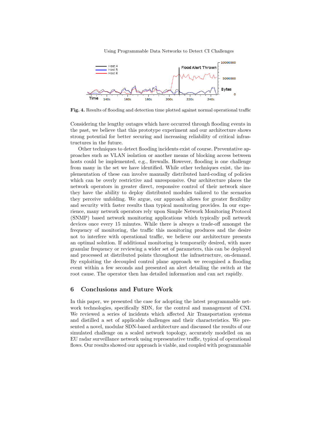

Fig. 4. Results of flooding and detection time plotted against normal operational traffic

Considering the lengthy outages which have occurred through flooding events in the past, we believe that this prototype experiment and our architecture shows strong potential for better securing and increasing reliability of critical infrastructures in the future.

Other techniques to detect flooding incidents exist of course. Preventative approaches such as VLAN isolation or another means of blocking access between hosts could be implemented, e.g., firewalls. However, flooding is one challenge from many in the set we have identified. While other techniques exist, the implementation of these can involve manually distributed hard-coding of policies which can be overly restrictive and unresponsive. Our architecture places the network operators in greater direct, responsive control of their network since they have the ability to deploy distributed modules tailored to the scenarios they perceive unfolding. We argue, our approach allows for greater flexibility and security with faster results than typical monitoring provides. In our experience, many network operators rely upon Simple Network Monitoring Protocol (SNMP) based network monitoring applications which typically poll network devices once every 15 minutes. While there is always a trade-off amongst the frequency of monitoring, the traffic this monitoring produces and the desire not to interfere with operational traffic, we believe our architecture presents an optimal solution. If additional monitoring is temporarily desired, with more granular frequency or reviewing a wider set of parameters, this can be deployed and processed at distributed points throughout the infrastructure, on-demand. By exploiting the decoupled control plane approach we recognised a flooding event within a few seconds and presented an alert detailing the switch at the root cause. The operator then has detailed information and can act rapidly.

# 6 Conclusions and Future Work

In this paper, we presented the case for adopting the latest programmable network technologies, specifically SDN, for the control and management of CNI. We reviewed a series of incidents which affected Air Transportation systems and distilled a set of applicable challenges and their characteristics. We presented a novel, modular SDN-based architecture and discussed the results of our simulated challenge on a scaled network topology, accurately modelled on an EU radar surveillance network using representative traffic, typical of operational flows. Our results showed our approach is viable, and coupled with programmable